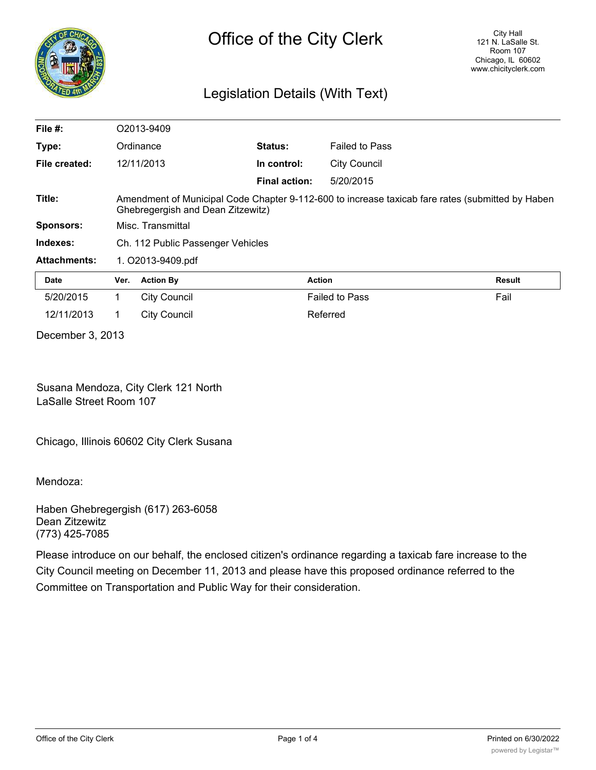

## Legislation Details (With Text)

| File $#$ :          | O2013-9409                                                                                                                            |                     |                      |                       |        |
|---------------------|---------------------------------------------------------------------------------------------------------------------------------------|---------------------|----------------------|-----------------------|--------|
| Type:               |                                                                                                                                       | Ordinance           | Status:              | <b>Failed to Pass</b> |        |
| File created:       |                                                                                                                                       | 12/11/2013          | In control:          | <b>City Council</b>   |        |
|                     |                                                                                                                                       |                     | <b>Final action:</b> | 5/20/2015             |        |
| Title:              | Amendment of Municipal Code Chapter 9-112-600 to increase taxicab fare rates (submitted by Haben<br>Ghebregergish and Dean Zitzewitz) |                     |                      |                       |        |
| <b>Sponsors:</b>    | Misc. Transmittal                                                                                                                     |                     |                      |                       |        |
| Indexes:            | Ch. 112 Public Passenger Vehicles                                                                                                     |                     |                      |                       |        |
| <b>Attachments:</b> | 1. O2013-9409.pdf                                                                                                                     |                     |                      |                       |        |
| <b>Date</b>         | Ver.                                                                                                                                  | <b>Action By</b>    |                      | <b>Action</b>         | Result |
| 5/20/2015           | 1                                                                                                                                     | <b>City Council</b> |                      | <b>Failed to Pass</b> | Fail   |
| 12/11/2013          | 1                                                                                                                                     | <b>City Council</b> |                      | Referred              |        |

December 3, 2013

Susana Mendoza, City Clerk 121 North LaSalle Street Room 107

Chicago, Illinois 60602 City Clerk Susana

Mendoza:

Haben Ghebregergish (617) 263-6058 Dean Zitzewitz (773) 425-7085

Please introduce on our behalf, the enclosed citizen's ordinance regarding a taxicab fare increase to the City Council meeting on December 11, 2013 and please have this proposed ordinance referred to the Committee on Transportation and Public Way for their consideration.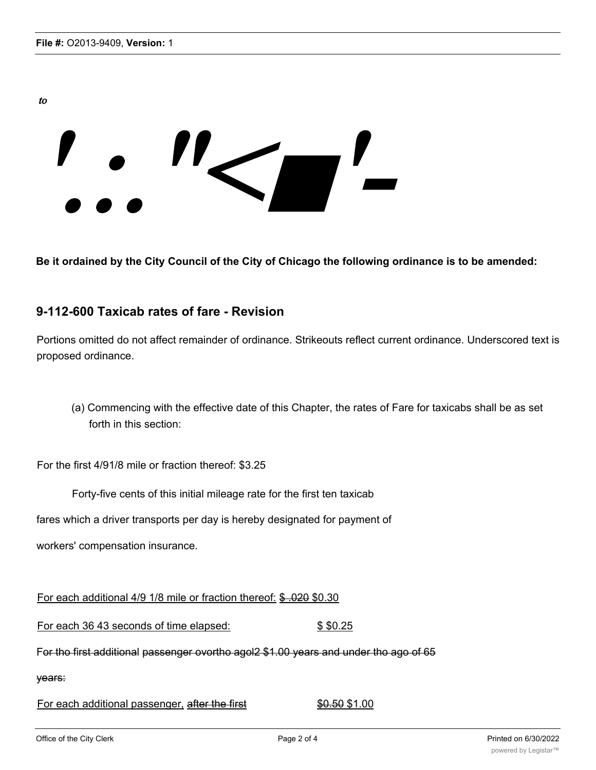## to  $"$

**Be it ordained by the City Council of the City of Chicago the following ordinance is to be amended:**

## **9-112-600 Taxicab rates of fare - Revision**

Portions omitted do not affect remainder of ordinance. Strikeouts reflect current ordinance. Underscored text is proposed ordinance.

(a) Commencing with the effective date of this Chapter, the rates of Fare for taxicabs shall be as set forth in this section:

For the first 4/91/8 mile or fraction thereof: \$3.25

Forty-five cents of this initial mileage rate for the first ten taxicab

fares which a driver transports per day is hereby designated for payment of

workers' compensation insurance.

For each additional 4/9 1/8 mile or fraction thereof: \$.020 \$0.30 For each 36 43 seconds of time elapsed:  $$$ For tho first additional passenger ovortho agol2 \$1.00 years and under tho ago of 65 years: For each additional passenger, after the first \$0.50 \$1.00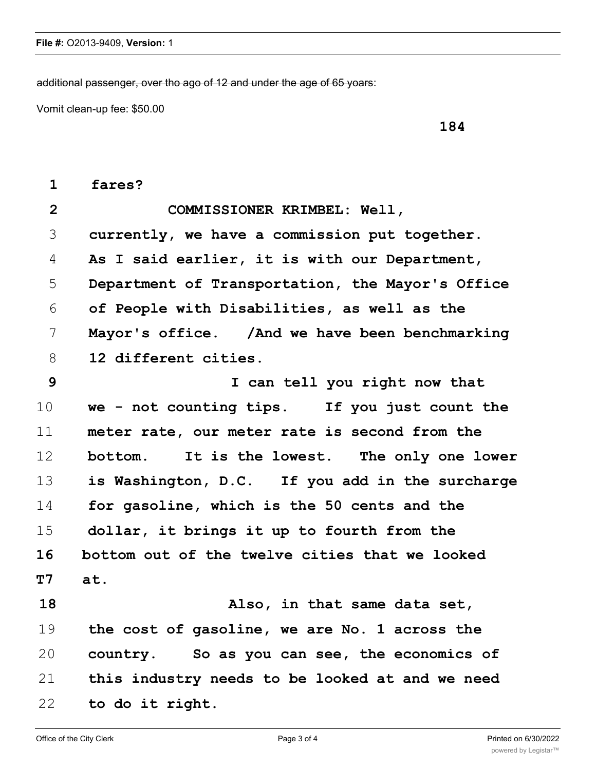additional passenger, over tho ago of 12 and under the age of 65 yoars:

Vomit clean-up fee: \$50.00

| $\mathbf{1}$   | fares?                                           |
|----------------|--------------------------------------------------|
| $\overline{2}$ | COMMISSIONER KRIMBEL: Well,                      |
| 3              | currently, we have a commission put together.    |
| 4              | As I said earlier, it is with our Department,    |
| 5              | Department of Transportation, the Mayor's Office |
| 6              | of People with Disabilities, as well as the      |
| 7              | Mayor's office. / And we have been benchmarking  |
| 8              | 12 different cities.                             |
| 9              | I can tell you right now that                    |
| 10             | we - not counting tips. If you just count the    |
| 11             | meter rate, our meter rate is second from the    |
| 12             | bottom. It is the lowest. The only one lower     |
| 13             | is Washington, D.C. If you add in the surcharge  |
| 14             | for gasoline, which is the 50 cents and the      |
| 15             | dollar, it brings it up to fourth from the       |
| 16             | bottom out of the twelve cities that we looked   |
| <b>T7</b>      | at.                                              |
| 18             | Also, in that same data set,                     |
| 19             | the cost of gasoline, we are No. 1 across the    |
| 20             | country. So as you can see, the economics of     |
| 21             | this industry needs to be looked at and we need  |
| 22             | to do it right.                                  |